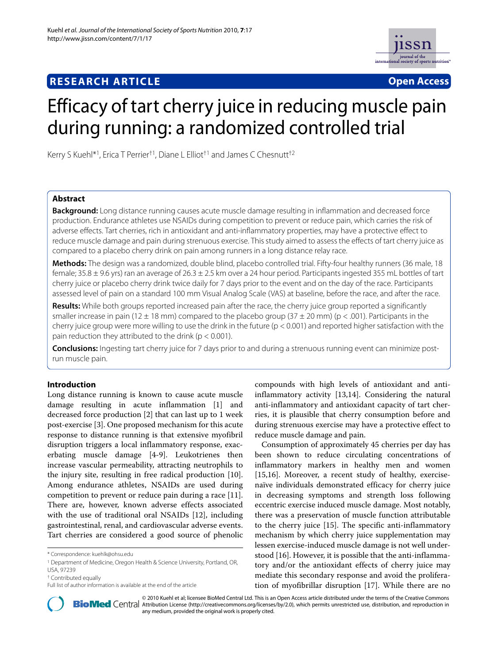## **RESEARCH ARTICLE Open Access**



# Efficacy of tart cherry juice in reducing muscle pain during running: a randomized controlled trial

Kerry S Kuehl\*1, Erica T Perrier†1, Diane L Elliot†1 and James C Chesnutt†2

## **Abstract**

**Background:** Long distance running causes acute muscle damage resulting in inflammation and decreased force production. Endurance athletes use NSAIDs during competition to prevent or reduce pain, which carries the risk of adverse effects. Tart cherries, rich in antioxidant and anti-inflammatory properties, may have a protective effect to reduce muscle damage and pain during strenuous exercise. This study aimed to assess the effects of tart cherry juice as compared to a placebo cherry drink on pain among runners in a long distance relay race.

**Methods:** The design was a randomized, double blind, placebo controlled trial. Fifty-four healthy runners (36 male, 18 female; 35.8 ± 9.6 yrs) ran an average of 26.3 ± 2.5 km over a 24 hour period. Participants ingested 355 mL bottles of tart cherry juice or placebo cherry drink twice daily for 7 days prior to the event and on the day of the race. Participants assessed level of pain on a standard 100 mm Visual Analog Scale (VAS) at baseline, before the race, and after the race.

**Results:** While both groups reported increased pain after the race, the cherry juice group reported a significantly smaller increase in pain (12  $\pm$  18 mm) compared to the placebo group (37  $\pm$  20 mm) (p < .001). Participants in the cherry juice group were more willing to use the drink in the future ( $p < 0.001$ ) and reported higher satisfaction with the pain reduction they attributed to the drink ( $p < 0.001$ ).

**Conclusions:** Ingesting tart cherry juice for 7 days prior to and during a strenuous running event can minimize postrun muscle pain.

## **Introduction**

Long distance running is known to cause acute muscle damage resulting in acute inflammation [\[1](#page-4-0)] and decreased force production [[2\]](#page-4-1) that can last up to 1 week post-exercise [[3](#page-4-2)]. One proposed mechanism for this acute response to distance running is that extensive myofibril disruption triggers a local inflammatory response, exacerbating muscle damage [[4](#page-4-3)[-9](#page-4-4)]. Leukotrienes then increase vascular permeability, attracting neutrophils to the injury site, resulting in free radical production [\[10](#page-4-5)]. Among endurance athletes, NSAIDs are used during competition to prevent or reduce pain during a race [\[11](#page-4-6)]. There are, however, known adverse effects associated with the use of traditional oral NSAIDs [[12\]](#page-4-7), including gastrointestinal, renal, and cardiovascular adverse events. Tart cherries are considered a good source of phenolic

compounds with high levels of antioxidant and antiinflammatory activity [[13,](#page-5-0)[14\]](#page-5-1). Considering the natural anti-inflammatory and antioxidant capacity of tart cherries, it is plausible that cherry consumption before and during strenuous exercise may have a protective effect to reduce muscle damage and pain.

Consumption of approximately 45 cherries per day has been shown to reduce circulating concentrations of inflammatory markers in healthy men and women [[15,](#page-5-2)[16\]](#page-5-3). Moreover, a recent study of healthy, exercisenaïve individuals demonstrated efficacy for cherry juice in decreasing symptoms and strength loss following eccentric exercise induced muscle damage. Most notably, there was a preservation of muscle function attributable to the cherry juice [[15\]](#page-5-2). The specific anti-inflammatory mechanism by which cherry juice supplementation may lessen exercise-induced muscle damage is not well understood [[16\]](#page-5-3). However, it is possible that the anti-inflammatory and/or the antioxidant effects of cherry juice may mediate this secondary response and avoid the proliferation of myofibrillar disruption [[17\]](#page-5-4). While there are no



2010 Kuehl et al; licensee [BioMed](http://www.biomedcentral.com/) Central Ltd. This is an Open Access article distributed under the terms of the Creative Commons (http://creativecommons.org/licenses/by/2.0), which permits unrestricted use, distribution, any medium, provided the original work is properly cited.

<sup>\*</sup> Correspondence: kuehlk@ohsu.edu

<sup>1</sup> Department of Medicine, Oregon Health & Science University, Portland, OR, USA, 97239

<sup>†</sup> Contributed equally

Full list of author information is available at the end of the article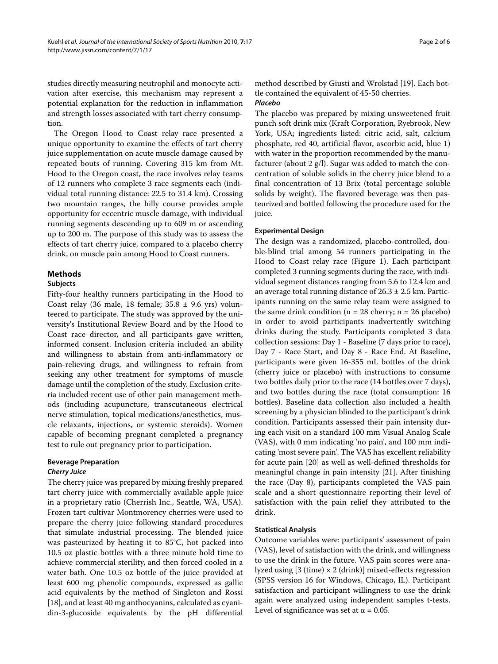studies directly measuring neutrophil and monocyte activation after exercise, this mechanism may represent a potential explanation for the reduction in inflammation and strength losses associated with tart cherry consumption.

The Oregon Hood to Coast relay race presented a unique opportunity to examine the effects of tart cherry juice supplementation on acute muscle damage caused by repeated bouts of running. Covering 315 km from Mt. Hood to the Oregon coast, the race involves relay teams of 12 runners who complete 3 race segments each (individual total running distance: 22.5 to 31.4 km). Crossing two mountain ranges, the hilly course provides ample opportunity for eccentric muscle damage, with individual running segments descending up to 609 m or ascending up to 200 m. The purpose of this study was to assess the effects of tart cherry juice, compared to a placebo cherry drink, on muscle pain among Hood to Coast runners.

#### **Methods**

#### **Subjects**

Fifty-four healthy runners participating in the Hood to Coast relay (36 male, 18 female;  $35.8 \pm 9.6$  yrs) volunteered to participate. The study was approved by the university's Institutional Review Board and by the Hood to Coast race director, and all participants gave written, informed consent. Inclusion criteria included an ability and willingness to abstain from anti-inflammatory or pain-relieving drugs, and willingness to refrain from seeking any other treatment for symptoms of muscle damage until the completion of the study. Exclusion criteria included recent use of other pain management methods (including acupuncture, transcutaneous electrical nerve stimulation, topical medications/anesthetics, muscle relaxants, injections, or systemic steroids). Women capable of becoming pregnant completed a pregnancy test to rule out pregnancy prior to participation.

### **Beverage Preparation**

### **Cherry Juice**

The cherry juice was prepared by mixing freshly prepared tart cherry juice with commercially available apple juice in a proprietary ratio (Cherrish Inc., Seattle, WA, USA). Frozen tart cultivar Montmorency cherries were used to prepare the cherry juice following standard procedures that simulate industrial processing. The blended juice was pasteurized by heating it to 85°C, hot packed into 10.5 oz plastic bottles with a three minute hold time to achieve commercial sterility, and then forced cooled in a water bath. One 10.5 oz bottle of the juice provided at least 600 mg phenolic compounds, expressed as gallic acid equivalents by the method of Singleton and Rossi [[18\]](#page-5-5), and at least 40 mg anthocyanins, calculated as cyanidin-3-glucoside equivalents by the pH differential method described by Giusti and Wrolstad [[19](#page-5-6)]. Each bottle contained the equivalent of 45-50 cherries.

## **Placebo**

The placebo was prepared by mixing unsweetened fruit punch soft drink mix (Kraft Corporation, Ryebrook, New York, USA; ingredients listed: citric acid, salt, calcium phosphate, red 40, artificial flavor, ascorbic acid, blue 1) with water in the proportion recommended by the manufacturer (about 2 g/l). Sugar was added to match the concentration of soluble solids in the cherry juice blend to a final concentration of 13 Brix (total percentage soluble solids by weight). The flavored beverage was then pasteurized and bottled following the procedure used for the juice.

#### **Experimental Design**

The design was a randomized, placebo-controlled, double-blind trial among 54 runners participating in the Hood to Coast relay race (Figure [1\)](#page-2-0). Each participant completed 3 running segments during the race, with individual segment distances ranging from 5.6 to 12.4 km and an average total running distance of  $26.3 \pm 2.5$  km. Participants running on the same relay team were assigned to the same drink condition ( $n = 28$  cherry;  $n = 26$  placebo) in order to avoid participants inadvertently switching drinks during the study. Participants completed 3 data collection sessions: Day 1 - Baseline (7 days prior to race), Day 7 - Race Start, and Day 8 - Race End. At Baseline, participants were given 16-355 mL bottles of the drink (cherry juice or placebo) with instructions to consume two bottles daily prior to the race (14 bottles over 7 days), and two bottles during the race (total consumption: 16 bottles). Baseline data collection also included a health screening by a physician blinded to the participant's drink condition. Participants assessed their pain intensity during each visit on a standard 100 mm Visual Analog Scale (VAS), with 0 mm indicating 'no pain', and 100 mm indicating 'most severe pain'. The VAS has excellent reliability for acute pain [[20\]](#page-5-7) as well as well-defined thresholds for meaningful change in pain intensity [\[21\]](#page-5-8). After finishing the race (Day 8), participants completed the VAS pain scale and a short questionnaire reporting their level of satisfaction with the pain relief they attributed to the drink.

#### **Statistical Analysis**

Outcome variables were: participants' assessment of pain (VAS), level of satisfaction with the drink, and willingness to use the drink in the future. VAS pain scores were analyzed using  $[3 \text{ (time)} \times 2 \text{ (drink)}]$  mixed-effects regression (SPSS version 16 for Windows, Chicago, IL). Participant satisfaction and participant willingness to use the drink again were analyzed using independent samples t-tests. Level of significance was set at  $\alpha$  = 0.05.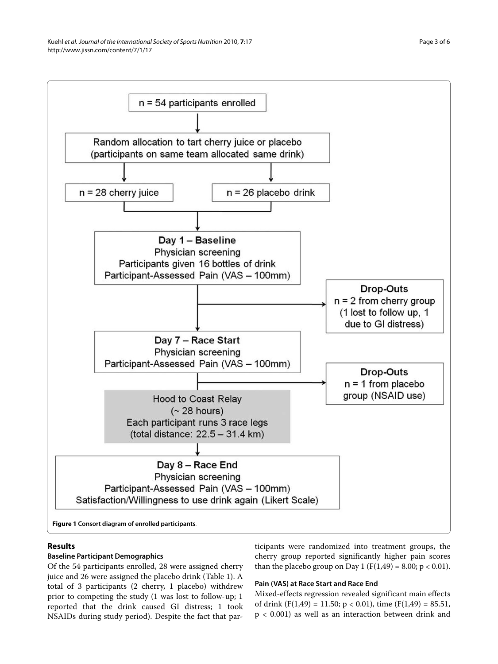<span id="page-2-0"></span>

## **Results**

## **Baseline Participant Demographics**

Of the 54 participants enrolled, 28 were assigned cherry juice and 26 were assigned the placebo drink (Table 1). A total of 3 participants (2 cherry, 1 placebo) withdrew prior to competing the study (1 was lost to follow-up; 1 reported that the drink caused GI distress; 1 took NSAIDs during study period). Despite the fact that participants were randomized into treatment groups, the cherry group reported significantly higher pain scores than the placebo group on Day 1 ( $F(1,49) = 8.00$ ;  $p < 0.01$ ).

## **Pain (VAS) at Race Start and Race End**

Mixed-effects regression revealed significant main effects of drink  $(F(1,49) = 11.50; p < 0.01)$ , time  $(F(1,49) = 85.51,$ p < 0.001) as well as an interaction between drink and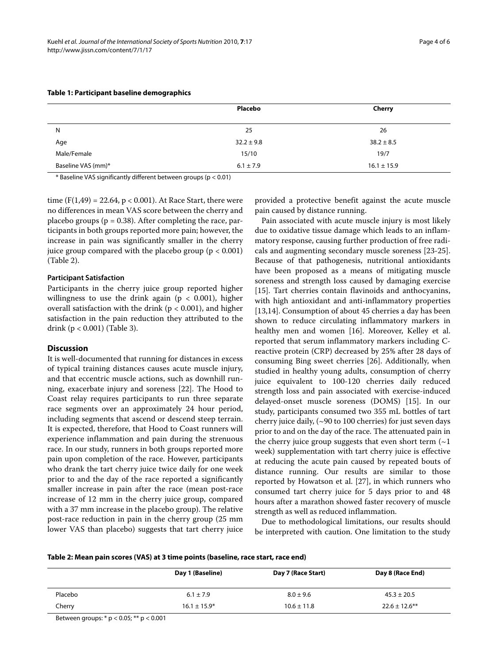|                    | Placebo        | Cherry          |
|--------------------|----------------|-----------------|
| N                  | 25             | 26              |
| Age                | $32.2 \pm 9.8$ | $38.2 \pm 8.5$  |
| Male/Female        | 15/10          | 19/7            |
| Baseline VAS (mm)* | $6.1 \pm 7.9$  | $16.1 \pm 15.9$ |

### **Table 1: Participant baseline demographics**

\* Baseline VAS significantly different between groups (p < 0.01)

time ( $F(1,49) = 22.64$ ,  $p < 0.001$ ). At Race Start, there were no differences in mean VAS score between the cherry and placebo groups ( $p = 0.38$ ). After completing the race, participants in both groups reported more pain; however, the increase in pain was significantly smaller in the cherry juice group compared with the placebo group ( $p < 0.001$ ) (Table 2).

#### **Participant Satisfaction**

Participants in the cherry juice group reported higher willingness to use the drink again ( $p < 0.001$ ), higher overall satisfaction with the drink ( $p < 0.001$ ), and higher satisfaction in the pain reduction they attributed to the drink (p < 0.001) (Table 3).

## **Discussion**

It is well-documented that running for distances in excess of typical training distances causes acute muscle injury, and that eccentric muscle actions, such as downhill running, exacerbate injury and soreness [\[22](#page-5-9)]. The Hood to Coast relay requires participants to run three separate race segments over an approximately 24 hour period, including segments that ascend or descend steep terrain. It is expected, therefore, that Hood to Coast runners will experience inflammation and pain during the strenuous race. In our study, runners in both groups reported more pain upon completion of the race. However, participants who drank the tart cherry juice twice daily for one week prior to and the day of the race reported a significantly smaller increase in pain after the race (mean post-race increase of 12 mm in the cherry juice group, compared with a 37 mm increase in the placebo group). The relative post-race reduction in pain in the cherry group (25 mm lower VAS than placebo) suggests that tart cherry juice

provided a protective benefit against the acute muscle pain caused by distance running.

Pain associated with acute muscle injury is most likely due to oxidative tissue damage which leads to an inflammatory response, causing further production of free radicals and augmenting secondary muscle soreness [[23](#page-5-10)[-25](#page-5-11)]. Because of that pathogenesis, nutritional antioxidants have been proposed as a means of mitigating muscle soreness and strength loss caused by damaging exercise [[15\]](#page-5-2). Tart cherries contain flavinoids and anthocyanins, with high antioxidant and anti-inflammatory properties [[13,](#page-5-0)[14\]](#page-5-1). Consumption of about 45 cherries a day has been shown to reduce circulating inflammatory markers in healthy men and women [\[16](#page-5-3)]. Moreover, Kelley et al. reported that serum inflammatory markers including Creactive protein (CRP) decreased by 25% after 28 days of consuming Bing sweet cherries [[26\]](#page-5-12). Additionally, when studied in healthy young adults, consumption of cherry juice equivalent to 100-120 cherries daily reduced strength loss and pain associated with exercise-induced delayed-onset muscle soreness (DOMS) [\[15](#page-5-2)]. In our study, participants consumed two 355 mL bottles of tart cherry juice daily, (~90 to 100 cherries) for just seven days prior to and on the day of the race. The attenuated pain in the cherry juice group suggests that even short term  $(\sim]$ week) supplementation with tart cherry juice is effective at reducing the acute pain caused by repeated bouts of distance running. Our results are similar to those reported by Howatson et al. [\[27\]](#page-5-13), in which runners who consumed tart cherry juice for 5 days prior to and 48 hours after a marathon showed faster recovery of muscle strength as well as reduced inflammation.

Due to methodological limitations, our results should be interpreted with caution. One limitation to the study

|  |  |  |  | Table 2: Mean pain scores (VAS) at 3 time points (baseline, race start, race end) |
|--|--|--|--|-----------------------------------------------------------------------------------|
|--|--|--|--|-----------------------------------------------------------------------------------|

|         | Day 1 (Baseline) | Day 7 (Race Start) | Day 8 (Race End)   |
|---------|------------------|--------------------|--------------------|
| Placebo | $6.1 \pm 7.9$    | $8.0 \pm 9.6$      | $45.3 \pm 20.5$    |
| Cherry  | $16.1 \pm 15.9*$ | $10.6 \pm 11.8$    | $22.6 \pm 12.6$ ** |
|         |                  |                    |                    |

Between groups: \* p < 0.05; \*\* p < 0.001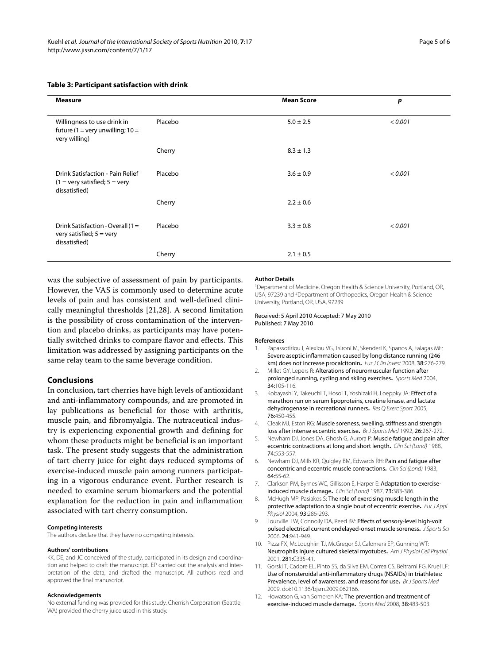#### **Table 3: Participant satisfaction with drink**

| <b>Measure</b>                                                                                      |         | <b>Mean Score</b> | p       |
|-----------------------------------------------------------------------------------------------------|---------|-------------------|---------|
| Willingness to use drink in<br>future (1 = very unwilling; $10 =$<br>very willing)                  | Placebo | $5.0 \pm 2.5$     | < 0.001 |
|                                                                                                     | Cherry  | $8.3 \pm 1.3$     |         |
| Drink Satisfaction - Pain Relief<br>$(1 = \text{very satisfied}; 5 = \text{very})$<br>dissatisfied) | Placebo | $3.6 \pm 0.9$     | < 0.001 |
|                                                                                                     | Cherry  | $2.2 \pm 0.6$     |         |
| Drink Satisfaction - Overall (1 =<br>very satisfied; $5 = \text{very}$<br>dissatisfied)             | Placebo | $3.3 \pm 0.8$     | < 0.001 |
|                                                                                                     | Cherry  | $2.1 \pm 0.5$     |         |

was the subjective of assessment of pain by participants. However, the VAS is commonly used to determine acute levels of pain and has consistent and well-defined clinically meaningful thresholds [[21](#page-5-8),[28](#page-5-14)]. A second limitation is the possibility of cross contamination of the intervention and placebo drinks, as participants may have potentially switched drinks to compare flavor and effects. This limitation was addressed by assigning participants on the same relay team to the same beverage condition.

#### **Conclusions**

In conclusion, tart cherries have high levels of antioxidant and anti-inflammatory compounds, and are promoted in lay publications as beneficial for those with arthritis, muscle pain, and fibromyalgia. The nutraceutical industry is experiencing exponential growth and defining for whom these products might be beneficial is an important task. The present study suggests that the administration of tart cherry juice for eight days reduced symptoms of exercise-induced muscle pain among runners participating in a vigorous endurance event. Further research is needed to examine serum biomarkers and the potential explanation for the reduction in pain and inflammation associated with tart cherry consumption.

#### **Competing interests**

The authors declare that they have no competing interests.

#### **Authors' contributions**

KK, DE, and JC conceived of the study, participated in its design and coordination and helped to draft the manuscript. EP carried out the analysis and interpretation of the data, and drafted the manuscript. All authors read and approved the final manuscript.

#### **Acknowledgements**

No external funding was provided for this study. Cherrish Corporation (Seattle, WA) provided the cherry juice used in this study.

#### **Author Details**

1Department of Medicine, Oregon Health & Science University, Portland, OR, USA, 97239 and 2Department of Orthopedics, Oregon Health & Science University, Portland, OR, USA, 97239

#### Received: 5 April 2010 Accepted: 7 May 2010 Published: 7 May 2010

#### **References**

- <span id="page-4-0"></span>1. Papassotiriou I, Alexiou VG, Tsironi M, Skenderi K, Spanos A, Falagas ME: Severe aseptic inflammation caused by long distance running (246 km) does not increase procalcitonin**.** Eur J Clin Invest 2008, 38:276-279.
- <span id="page-4-1"></span>2. Millet GY, Lepers R: Alterations of neuromuscular function after prolonged running, cycling and skiing exercises**.** Sports Med 2004, 34:105-116.
- <span id="page-4-2"></span>3. Kobayashi Y, Takeuchi T, Hosoi T, Yoshizaki H, Loeppky JA: Effect of a marathon run on serum lipoproteins, creatine kinase, and lactate dehydrogenase in recreational runners**.** Res Q Exerc Sport 2005, 76:450-455.
- <span id="page-4-3"></span>4. Cleak MJ, Eston RG: Muscle soreness, swelling, stiffness and strength loss after intense eccentric exercise**.** Br J Sports Med 1992, 26:267-272.
- 5. Newham DJ, Jones DA, Ghosh G, Aurora P: Muscle fatigue and pain after eccentric contractions at long and short length**.** Clin Sci (Lond) 1988, 74:553-557.
- 6. Newham DJ, Mills KR, Quigley BM, Edwards RH: Pain and fatigue after concentric and eccentric muscle contractions**[.](http://www.ncbi.nlm.nih.gov/entrez/query.fcgi?cmd=Retrieve&db=PubMed&dopt=Abstract&list_uids=6822050)** Clin Sci (Lond) 1983, 64:55-62.
- 7. Clarkson PM, Byrnes WC, Gillisson E, Harper E: Adaptation to exerciseinduced muscle damage**.** Clin Sci (Lond) 1987, 73:383-386.
- 8. McHugh MP, Pasiakos S: The role of exercising muscle length in the protective adaptation to a single bout of eccentric exercise**.** Eur J Appl Physiol 2004, 93:286-293.
- <span id="page-4-4"></span>9. Tourville TW, Connolly DA, Reed BV: Effects of sensory-level high-volt pulsed electrical current ondelayed-onset muscle soreness**.** J Sports Sci 2006, 24:941-949.
- <span id="page-4-5"></span>10. Pizza FX, McLoughlin TJ, McGregor SJ, Calomeni EP, Gunning WT: Neutrophils injure cultured skeletal myotubes**.** Am J Physiol Cell Physiol 2001, 281:C335-41.
- <span id="page-4-6"></span>11. Gorski T, Cadore EL, Pinto SS, da Silva EM, Correa CS, Beltrami FG, Kruel LF: Use of nonsteroidal anti-inflammatory drugs (NSAIDs) in triathletes: Prevalence, level of awareness, and reasons for use**.** Br J Sports Med 2009. doi:10.1136/bjsm.2009.062166.
- <span id="page-4-7"></span>12. Howatson G, van Someren KA: The prevention and treatment of exercise-induced muscle damage**.** Sports Med 2008, 38:483-503.